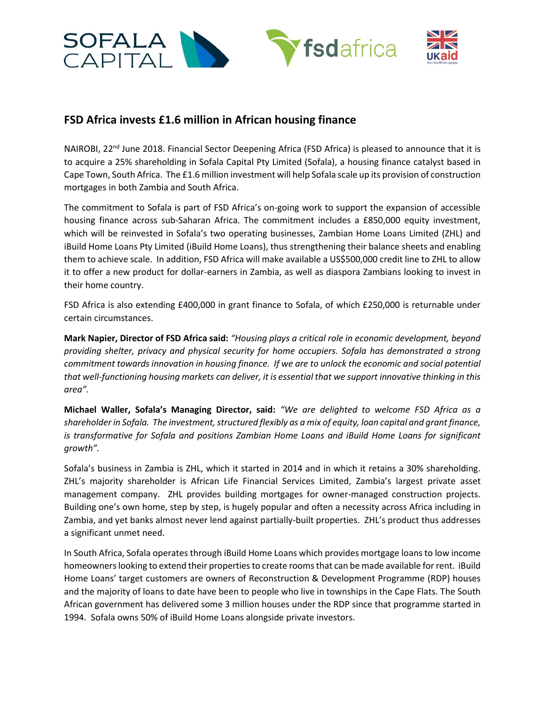

## **FSD Africa invests £1.6 million in African housing finance**

NAIROBI,  $22^{nd}$  June 2018. Financial Sector Deepening Africa (FSD Africa) is pleased to announce that it is to acquire a 25% shareholding in Sofala Capital Pty Limited (Sofala), a housing finance catalyst based in Cape Town, South Africa. The £1.6 million investment will help Sofala scale up its provision of construction mortgages in both Zambia and South Africa.

The commitment to Sofala is part of FSD Africa's on-going work to support the expansion of accessible housing finance across sub-Saharan Africa. The commitment includes a £850,000 equity investment, which will be reinvested in Sofala's two operating businesses, Zambian Home Loans Limited (ZHL) and iBuild Home Loans Pty Limited (iBuild Home Loans), thus strengthening their balance sheets and enabling them to achieve scale. In addition, FSD Africa will make available a US\$500,000 credit line to ZHL to allow it to offer a new product for dollar-earners in Zambia, as well as diaspora Zambians looking to invest in their home country.

FSD Africa is also extending £400,000 in grant finance to Sofala, of which £250,000 is returnable under certain circumstances.

**Mark Napier, Director of FSD Africa said:** *"Housing plays a critical role in economic development, beyond providing shelter, privacy and physical security for home occupiers. Sofala has demonstrated a strong commitment towards innovation in housing finance. If we are to unlock the economic and social potential that well-functioning housing markets can deliver, it is essential that we support innovative thinking in this area".* 

**Michael Waller, Sofala's Managing Director, said:** *"We are delighted to welcome FSD Africa as a shareholder in Sofala. The investment, structured flexibly as a mix of equity, loan capital and grant finance, is transformative for Sofala and positions Zambian Home Loans and iBuild Home Loans for significant growth".* 

Sofala's business in Zambia is ZHL, which it started in 2014 and in which it retains a 30% shareholding. ZHL's majority shareholder is African Life Financial Services Limited, Zambia's largest private asset management company. ZHL provides building mortgages for owner-managed construction projects. Building one's own home, step by step, is hugely popular and often a necessity across Africa including in Zambia, and yet banks almost never lend against partially-built properties. ZHL's product thus addresses a significant unmet need.

In South Africa, Sofala operates through iBuild Home Loans which provides mortgage loans to low income homeowners looking to extend their properties to create roomsthat can be made available for rent. iBuild Home Loans' target customers are owners of Reconstruction & Development Programme (RDP) houses and the majority of loans to date have been to people who live in townships in the Cape Flats. The South African government has delivered some 3 million houses under the RDP since that programme started in 1994. Sofala owns 50% of iBuild Home Loans alongside private investors.